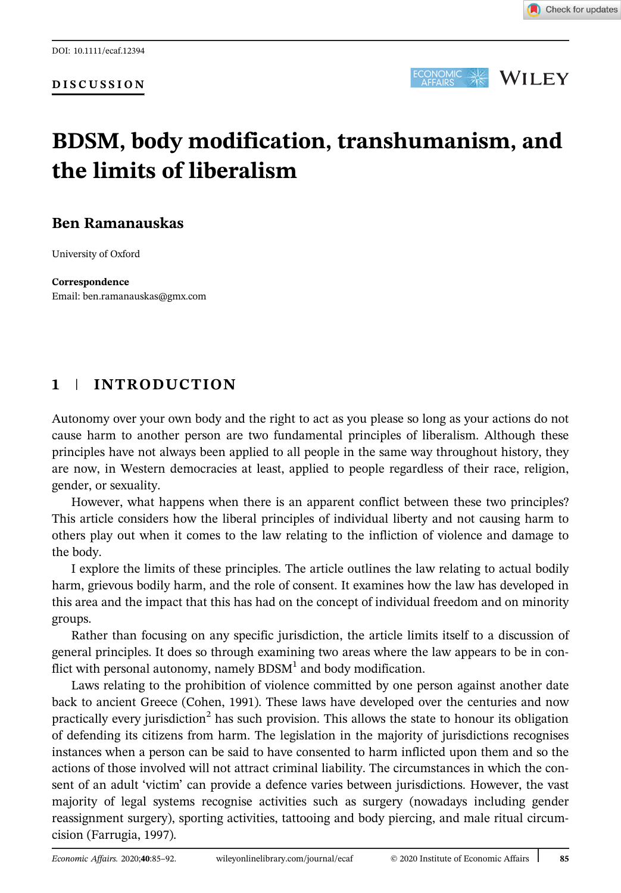DISCUSSION





# BDSM, body modification, transhumanism, and the limits of liberalism

### Ben Ramanauskas

University of Oxford

Correspondence Email: ben.ramanauskas@gmx.com

# 1 | INTRODUCTION

Autonomy over your own body and the right to act as you please so long as your actions do not cause harm to another person are two fundamental principles of liberalism. Although these principles have not always been applied to all people in the same way throughout history, they are now, in Western democracies at least, applied to people regardless of their race, religion, gender, or sexuality.

However, what happens when there is an apparent conflict between these two principles? This article considers how the liberal principles of individual liberty and not causing harm to others play out when it comes to the law relating to the infliction of violence and damage to the body.

I explore the limits of these principles. The article outlines the law relating to actual bodily harm, grievous bodily harm, and the role of consent. It examines how the law has developed in this area and the impact that this has had on the concept of individual freedom and on minority groups.

Rather than focusing on any specific jurisdiction, the article limits itself to a discussion of general principles. It does so through examining two areas where the law appears to be in conflict with personal autonomy, namely  $BDSM<sup>1</sup>$  and body modification.

Laws relating to the prohibition of violence committed by one person against another date back to ancient Greece (Cohen, 1991). These laws have developed over the centuries and now practically every jurisdiction<sup>2</sup> has such provision. This allows the state to honour its obligation of defending its citizens from harm. The legislation in the majority of jurisdictions recognises instances when a person can be said to have consented to harm inflicted upon them and so the actions of those involved will not attract criminal liability. The circumstances in which the consent of an adult 'victim' can provide a defence varies between jurisdictions. However, the vast majority of legal systems recognise activities such as surgery (nowadays including gender reassignment surgery), sporting activities, tattooing and body piercing, and male ritual circumcision (Farrugia, 1997).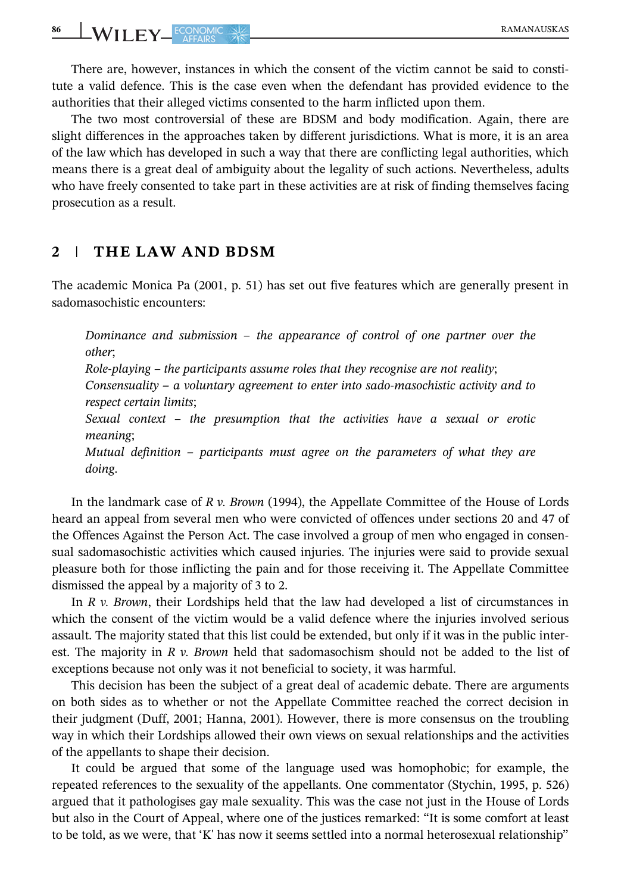**86 WILEY ECONOMIC SECONOMIC PROPERTY ARAMANAUSKAS** 

There are, however, instances in which the consent of the victim cannot be said to constitute a valid defence. This is the case even when the defendant has provided evidence to the authorities that their alleged victims consented to the harm inflicted upon them.

The two most controversial of these are BDSM and body modification. Again, there are slight differences in the approaches taken by different jurisdictions. What is more, it is an area of the law which has developed in such a way that there are conflicting legal authorities, which means there is a great deal of ambiguity about the legality of such actions. Nevertheless, adults who have freely consented to take part in these activities are at risk of finding themselves facing prosecution as a result.

## 2 | THE LAW AND BDSM

The academic Monica Pa (2001, p. 51) has set out five features which are generally present in sadomasochistic encounters:<br> *Dominance and submission – the appearance of control of one partner over the* sadomasochistic encounters:

other; Dominance and submission – the appearance of control of one partner over the other;<br>other;<br>Role-playing – the participants assume roles that they recognise are not reality; other;<br>Role-playing – the participants assume roles that they recognise are not reality;<br>Consensuality – a voluntary agreement to enter into sado-masochistic activity and to respect certain limits; Role-playing – the participants assume roles that they recognise are not reality;<br>Consensuality – a voluntary agreement to enter into sado-masochistic activity and to<br>respect certain limits;<br>Sexual context – the presumptio meaning; Sexual context – the presumption that the activities have a sexual or erotic<br>meaning;<br>Mutual definition – participants must agree on the parameters of what they are doing.

In the landmark case of R v. Brown (1994), the Appellate Committee of the House of Lords heard an appeal from several men who were convicted of offences under sections 20 and 47 of the Offences Against the Person Act. The case involved a group of men who engaged in consensual sadomasochistic activities which caused injuries. The injuries were said to provide sexual pleasure both for those inflicting the pain and for those receiving it. The Appellate Committee dismissed the appeal by a majority of 3 to 2.

In  $R$  v. Brown, their Lordships held that the law had developed a list of circumstances in which the consent of the victim would be a valid defence where the injuries involved serious assault. The majority stated that this list could be extended, but only if it was in the public interest. The majority in  $R$  v. Brown held that sadomasochism should not be added to the list of exceptions because not only was it not beneficial to society, it was harmful.

This decision has been the subject of a great deal of academic debate. There are arguments on both sides as to whether or not the Appellate Committee reached the correct decision in their judgment (Duff, 2001; Hanna, 2001). However, there is more consensus on the troubling way in which their Lordships allowed their own views on sexual relationships and the activities of the appellants to shape their decision.

It could be argued that some of the language used was homophobic; for example, the repeated references to the sexuality of the appellants. One commentator (Stychin, 1995, p. 526) argued that it pathologises gay male sexuality. This was the case not just in the House of Lords but also in the Court of Appeal, where one of the justices remarked: "It is some comfort at least to be told, as we were, that 'K' has now it seems settled into a normal heterosexual relationship"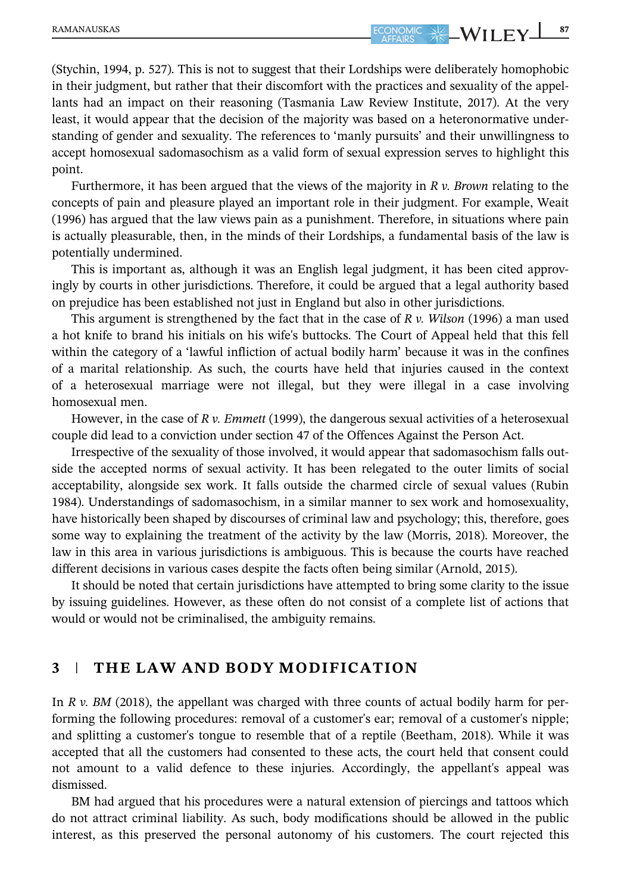(Stychin, 1994, p. 527). This is not to suggest that their Lordships were deliberately homophobic in their judgment, but rather that their discomfort with the practices and sexuality of the appellants had an impact on their reasoning (Tasmania Law Review Institute, 2017). At the very least, it would appear that the decision of the majority was based on a heteronormative understanding of gender and sexuality. The references to 'manly pursuits' and their unwillingness to accept homosexual sadomasochism as a valid form of sexual expression serves to highlight this point.

Furthermore, it has been argued that the views of the majority in  $R$  v. Brown relating to the concepts of pain and pleasure played an important role in their judgment. For example, Weait (1996) has argued that the law views pain as a punishment. Therefore, in situations where pain is actually pleasurable, then, in the minds of their Lordships, a fundamental basis of the law is potentially undermined.

This is important as, although it was an English legal judgment, it has been cited approvingly by courts in other jurisdictions. Therefore, it could be argued that a legal authority based on prejudice has been established not just in England but also in other jurisdictions.

This argument is strengthened by the fact that in the case of R v. Wilson (1996) a man used a hot knife to brand his initials on his wife's buttocks. The Court of Appeal held that this fell within the category of a 'lawful infliction of actual bodily harm' because it was in the confines of a marital relationship. As such, the courts have held that injuries caused in the context of a heterosexual marriage were not illegal, but they were illegal in a case involving homosexual men.

However, in the case of R v. Emmett (1999), the dangerous sexual activities of a heterosexual couple did lead to a conviction under section 47 of the Offences Against the Person Act.

Irrespective of the sexuality of those involved, it would appear that sadomasochism falls outside the accepted norms of sexual activity. It has been relegated to the outer limits of social acceptability, alongside sex work. It falls outside the charmed circle of sexual values (Rubin 1984). Understandings of sadomasochism, in a similar manner to sex work and homosexuality, have historically been shaped by discourses of criminal law and psychology; this, therefore, goes some way to explaining the treatment of the activity by the law (Morris, 2018). Moreover, the law in this area in various jurisdictions is ambiguous. This is because the courts have reached different decisions in various cases despite the facts often being similar (Arnold, 2015).

It should be noted that certain jurisdictions have attempted to bring some clarity to the issue by issuing guidelines. However, as these often do not consist of a complete list of actions that would or would not be criminalised, the ambiguity remains.

# 3 | THE LAW AND BODY MODIFICATION

In R v. BM (2018), the appellant was charged with three counts of actual bodily harm for performing the following procedures: removal of a customer's ear; removal of a customer's nipple; and splitting a customer's tongue to resemble that of a reptile (Beetham, 2018). While it was accepted that all the customers had consented to these acts, the court held that consent could not amount to a valid defence to these injuries. Accordingly, the appellant's appeal was dismissed.

BM had argued that his procedures were a natural extension of piercings and tattoos which do not attract criminal liability. As such, body modifications should be allowed in the public interest, as this preserved the personal autonomy of his customers. The court rejected this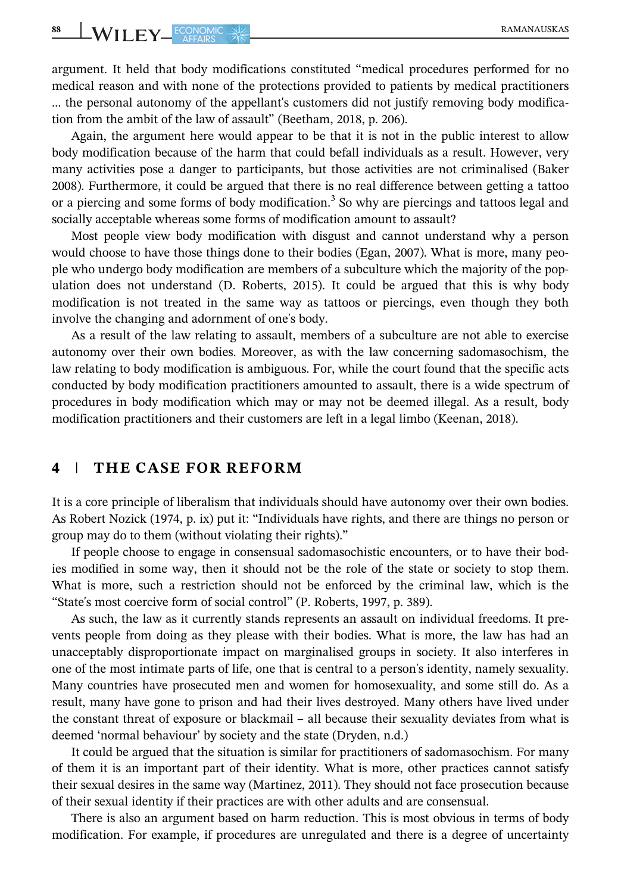argument. It held that body modifications constituted "medical procedures performed for no medical reason and with none of the protections provided to patients by medical practitioners … the personal autonomy of the appellant's customers did not justify removing body modification from the ambit of the law of assault" (Beetham, 2018, p. 206).

Again, the argument here would appear to be that it is not in the public interest to allow body modification because of the harm that could befall individuals as a result. However, very many activities pose a danger to participants, but those activities are not criminalised (Baker 2008). Furthermore, it could be argued that there is no real difference between getting a tattoo or a piercing and some forms of body modification.<sup>3</sup> So why are piercings and tattoos legal and socially acceptable whereas some forms of modification amount to assault?

Most people view body modification with disgust and cannot understand why a person would choose to have those things done to their bodies (Egan, 2007). What is more, many people who undergo body modification are members of a subculture which the majority of the population does not understand (D. Roberts, 2015). It could be argued that this is why body modification is not treated in the same way as tattoos or piercings, even though they both involve the changing and adornment of one's body.

As a result of the law relating to assault, members of a subculture are not able to exercise autonomy over their own bodies. Moreover, as with the law concerning sadomasochism, the law relating to body modification is ambiguous. For, while the court found that the specific acts conducted by body modification practitioners amounted to assault, there is a wide spectrum of procedures in body modification which may or may not be deemed illegal. As a result, body modification practitioners and their customers are left in a legal limbo (Keenan, 2018).

#### 4 | THE CASE FOR REFORM

It is a core principle of liberalism that individuals should have autonomy over their own bodies. As Robert Nozick (1974, p. ix) put it: "Individuals have rights, and there are things no person or group may do to them (without violating their rights)."

If people choose to engage in consensual sadomasochistic encounters, or to have their bodies modified in some way, then it should not be the role of the state or society to stop them. What is more, such a restriction should not be enforced by the criminal law, which is the "State's most coercive form of social control" (P. Roberts, 1997, p. 389).

As such, the law as it currently stands represents an assault on individual freedoms. It prevents people from doing as they please with their bodies. What is more, the law has had an unacceptably disproportionate impact on marginalised groups in society. It also interferes in one of the most intimate parts of life, one that is central to a person's identity, namely sexuality. Many countries have prosecuted men and women for homosexuality, and some still do. As a result, many have gone to prison and had their lives destroyed. Many others have lived under the constant threat of exposure or blackmail – all because their sexuality deviates from what is deemed 'normal behaviour' by society and the state (Dryden, n.d.)

It could be argued that the situation is similar for practitioners of sadomasochism. For many of them it is an important part of their identity. What is more, other practices cannot satisfy their sexual desires in the same way (Martinez, 2011). They should not face prosecution because of their sexual identity if their practices are with other adults and are consensual.

There is also an argument based on harm reduction. This is most obvious in terms of body modification. For example, if procedures are unregulated and there is a degree of uncertainty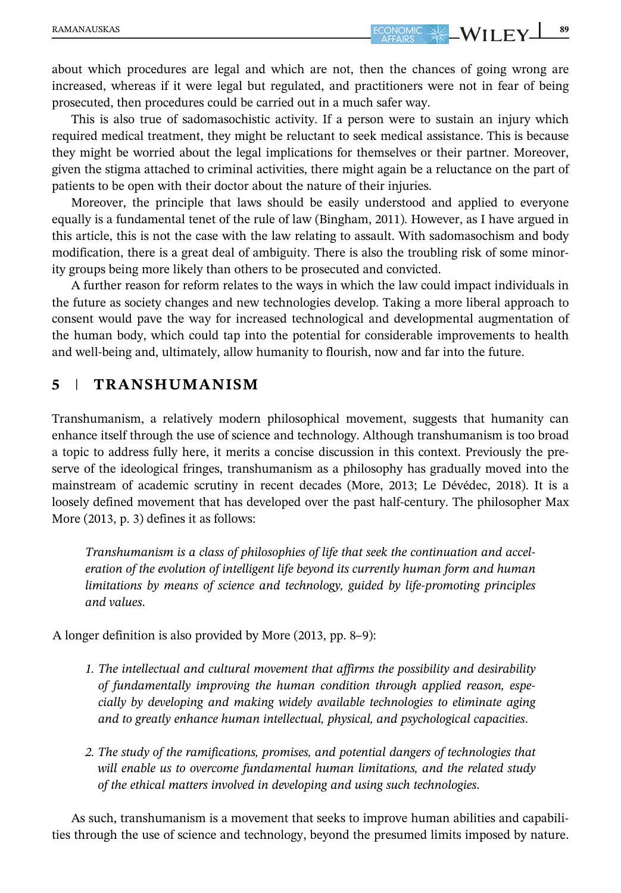about which procedures are legal and which are not, then the chances of going wrong are increased, whereas if it were legal but regulated, and practitioners were not in fear of being prosecuted, then procedures could be carried out in a much safer way.

This is also true of sadomasochistic activity. If a person were to sustain an injury which required medical treatment, they might be reluctant to seek medical assistance. This is because they might be worried about the legal implications for themselves or their partner. Moreover, given the stigma attached to criminal activities, there might again be a reluctance on the part of patients to be open with their doctor about the nature of their injuries.

Moreover, the principle that laws should be easily understood and applied to everyone equally is a fundamental tenet of the rule of law (Bingham, 2011). However, as I have argued in this article, this is not the case with the law relating to assault. With sadomasochism and body modification, there is a great deal of ambiguity. There is also the troubling risk of some minority groups being more likely than others to be prosecuted and convicted.

A further reason for reform relates to the ways in which the law could impact individuals in the future as society changes and new technologies develop. Taking a more liberal approach to consent would pave the way for increased technological and developmental augmentation of the human body, which could tap into the potential for considerable improvements to health and well-being and, ultimately, allow humanity to flourish, now and far into the future.

## 5 | TRANSHUMANISM

Transhumanism, a relatively modern philosophical movement, suggests that humanity can enhance itself through the use of science and technology. Although transhumanism is too broad a topic to address fully here, it merits a concise discussion in this context. Previously the preserve of the ideological fringes, transhumanism as a philosophy has gradually moved into the mainstream of academic scrutiny in recent decades (More, 2013; Le Dévédec, 2018). It is a loosely defined movement that has developed over the past half-century. The philosopher Max More (2013, p. 3) defines it as follows:

Transhumanism is a class of philosophies of life that seek the continuation and acceleration of the evolution of intelligent life beyond its currently human form and human limitations by means of science and technology, guided by life-promoting principles and values.

A longer definition is also provided by More (2013, pp. 8–9):

- 1. The intellectual and cultural movement that affirms the possibility and desirability of fundamentally improving the human condition through applied reason, especially by developing and making widely available technologies to eliminate aging and to greatly enhance human intellectual, physical, and psychological capacities.
- 2. The study of the ramifications, promises, and potential dangers of technologies that will enable us to overcome fundamental human limitations, and the related study of the ethical matters involved in developing and using such technologies.

As such, transhumanism is a movement that seeks to improve human abilities and capabilities through the use of science and technology, beyond the presumed limits imposed by nature.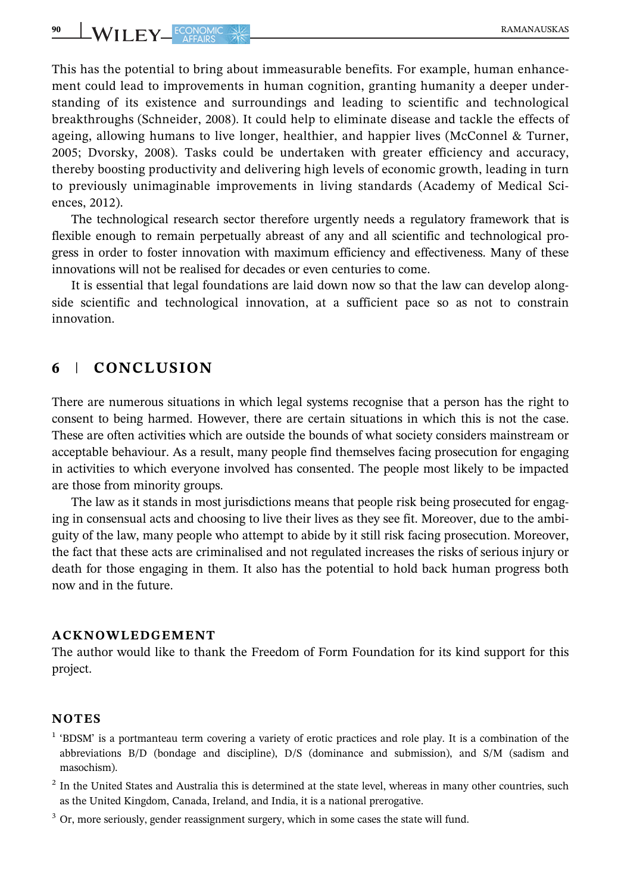**90 WILFY ECONOMIC WELL EXECUTE A RAMANAUSKAS** 

This has the potential to bring about immeasurable benefits. For example, human enhancement could lead to improvements in human cognition, granting humanity a deeper understanding of its existence and surroundings and leading to scientific and technological breakthroughs (Schneider, 2008). It could help to eliminate disease and tackle the effects of ageing, allowing humans to live longer, healthier, and happier lives (McConnel & Turner, 2005; Dvorsky, 2008). Tasks could be undertaken with greater efficiency and accuracy, thereby boosting productivity and delivering high levels of economic growth, leading in turn to previously unimaginable improvements in living standards (Academy of Medical Sciences, 2012).

The technological research sector therefore urgently needs a regulatory framework that is flexible enough to remain perpetually abreast of any and all scientific and technological progress in order to foster innovation with maximum efficiency and effectiveness. Many of these innovations will not be realised for decades or even centuries to come.

It is essential that legal foundations are laid down now so that the law can develop alongside scientific and technological innovation, at a sufficient pace so as not to constrain innovation.

# 6 | CONCLUSION

There are numerous situations in which legal systems recognise that a person has the right to consent to being harmed. However, there are certain situations in which this is not the case. These are often activities which are outside the bounds of what society considers mainstream or acceptable behaviour. As a result, many people find themselves facing prosecution for engaging in activities to which everyone involved has consented. The people most likely to be impacted are those from minority groups.

The law as it stands in most jurisdictions means that people risk being prosecuted for engaging in consensual acts and choosing to live their lives as they see fit. Moreover, due to the ambiguity of the law, many people who attempt to abide by it still risk facing prosecution. Moreover, the fact that these acts are criminalised and not regulated increases the risks of serious injury or death for those engaging in them. It also has the potential to hold back human progress both now and in the future.

#### ACKNOWLEDGEMENT

The author would like to thank the Freedom of Form Foundation for its kind support for this project.

#### **NOTES**

<sup>1</sup> 'BDSM' is a portmanteau term covering a variety of erotic practices and role play. It is a combination of the abbreviations B/D (bondage and discipline), D/S (dominance and submission), and S/M (sadism and masochism).

<sup>2</sup> In the United States and Australia this is determined at the state level, whereas in many other countries, such as the United Kingdom, Canada, Ireland, and India, it is a national prerogative.

<sup>3</sup> Or, more seriously, gender reassignment surgery, which in some cases the state will fund.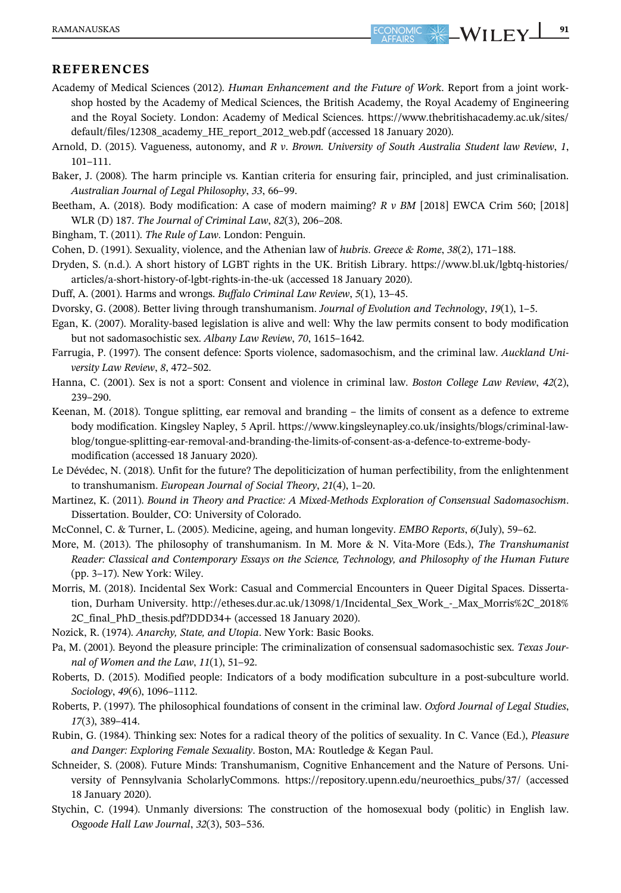#### REFERENCES

- Academy of Medical Sciences (2012). Human Enhancement and the Future of Work. Report from a joint workshop hosted by the Academy of Medical Sciences, the British Academy, the Royal Academy of Engineering and the Royal Society. London: Academy of Medical Sciences. https://www.thebritishacademy.ac.uk/sites/ default/files/12308\_academy\_HE\_report\_2012\_web.pdf (accessed 18 January 2020).
- Arnold, D. (2015). Vagueness, autonomy, and R v. Brown. University of South Australia Student law Review, 1, 101–111.
- Baker, J. (2008). The harm principle vs. Kantian criteria for ensuring fair, principled, and just criminalisation. Australian Journal of Legal Philosophy, 33, 66–99.
- Beetham, A. (2018). Body modification: A case of modern maiming? R v BM [2018] EWCA Crim 560; [2018] WLR (D) 187. The Journal of Criminal Law, 82(3), 206–208.
- Bingham, T. (2011). The Rule of Law. London: Penguin.
- Cohen, D. (1991). Sexuality, violence, and the Athenian law of hubris. Greece & Rome, 38(2), 171–188.
- Dryden, S. (n.d.). A short history of LGBT rights in the UK. British Library. https://www.bl.uk/lgbtq-histories/ articles/a-short-history-of-lgbt-rights-in-the-uk (accessed 18 January 2020).
- Duff, A. (2001). Harms and wrongs. Buffalo Criminal Law Review, 5(1), 13–45.
- Dvorsky, G. (2008). Better living through transhumanism. Journal of Evolution and Technology, 19(1), 1–5.
- Egan, K. (2007). Morality-based legislation is alive and well: Why the law permits consent to body modification but not sadomasochistic sex. Albany Law Review, 70, 1615–1642.
- Farrugia, P. (1997). The consent defence: Sports violence, sadomasochism, and the criminal law. Auckland University Law Review, 8, 472–502.
- Hanna, C. (2001). Sex is not a sport: Consent and violence in criminal law. Boston College Law Review, 42(2), 239–290.
- Keenan, M. (2018). Tongue splitting, ear removal and branding the limits of consent as a defence to extreme body modification. Kingsley Napley, 5 April. https://www.kingsleynapley.co.uk/insights/blogs/criminal-lawblog/tongue-splitting-ear-removal-and-branding-the-limits-of-consent-as-a-defence-to-extreme-bodymodification (accessed 18 January 2020).
- Le Dévédec, N. (2018). Unfit for the future? The depoliticization of human perfectibility, from the enlightenment to transhumanism. European Journal of Social Theory, 21(4), 1–20.
- Martinez, K. (2011). Bound in Theory and Practice: A Mixed-Methods Exploration of Consensual Sadomasochism. Dissertation. Boulder, CO: University of Colorado.
- McConnel, C. & Turner, L. (2005). Medicine, ageing, and human longevity. EMBO Reports, 6(July), 59–62.
- More, M. (2013). The philosophy of transhumanism. In M. More & N. Vita-More (Eds.), The Transhumanist Reader: Classical and Contemporary Essays on the Science, Technology, and Philosophy of the Human Future (pp. 3–17). New York: Wiley.
- Morris, M. (2018). Incidental Sex Work: Casual and Commercial Encounters in Queer Digital Spaces. Dissertation, Durham University. http://etheses.dur.ac.uk/13098/1/Incidental\_Sex\_Work\_-\_Max\_Morris%2C\_2018% 2C\_final\_PhD\_thesis.pdf?DDD34+ (accessed 18 January 2020).
- Nozick, R. (1974). Anarchy, State, and Utopia. New York: Basic Books.
- Pa, M. (2001). Beyond the pleasure principle: The criminalization of consensual sadomasochistic sex. Texas Journal of Women and the Law, 11(1), 51–92.
- Roberts, D. (2015). Modified people: Indicators of a body modification subculture in a post-subculture world. Sociology, 49(6), 1096–1112.
- Roberts, P. (1997). The philosophical foundations of consent in the criminal law. Oxford Journal of Legal Studies, 17(3), 389–414.
- Rubin, G. (1984). Thinking sex: Notes for a radical theory of the politics of sexuality. In C. Vance (Ed.), Pleasure and Danger: Exploring Female Sexuality. Boston, MA: Routledge & Kegan Paul.
- Schneider, S. (2008). Future Minds: Transhumanism, Cognitive Enhancement and the Nature of Persons. University of Pennsylvania ScholarlyCommons. https://repository.upenn.edu/neuroethics\_pubs/37/ (accessed 18 January 2020).
- Stychin, C. (1994). Unmanly diversions: The construction of the homosexual body (politic) in English law. Osgoode Hall Law Journal, 32(3), 503–536.